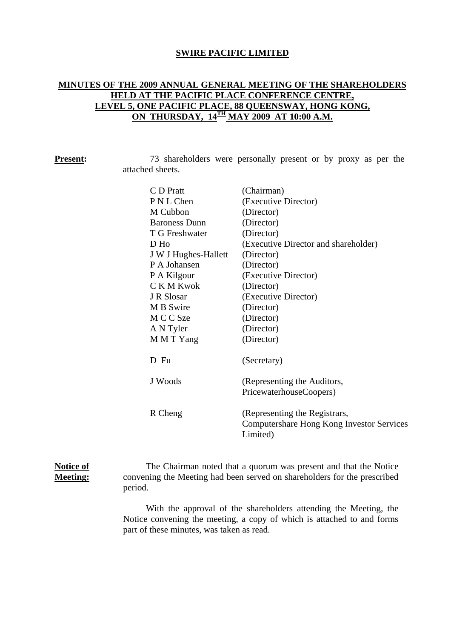### **SWIRE PACIFIC LIMITED**

# **MINUTES OF THE 2009 ANNUAL GENERAL MEETING OF THE SHAREHOLDERS HELD AT THE PACIFIC PLACE CONFERENCE CENTRE, LEVEL 5, ONE PACIFIC PLACE, 88 QUEENSWAY, HONG KONG, ON THURSDAY, 14TH MAY 2009 AT 10:00 A.M.**

| <b>Present:</b> |                  | 73 shareholders were personally present or by proxy as per the |  |  |  |  |  |
|-----------------|------------------|----------------------------------------------------------------|--|--|--|--|--|
|                 | attached sheets. |                                                                |  |  |  |  |  |
|                 |                  |                                                                |  |  |  |  |  |

| C D Pratt            | (Chairman)                                                                             |
|----------------------|----------------------------------------------------------------------------------------|
| P N L Chen           | (Executive Director)                                                                   |
| M Cubbon             | (Director)                                                                             |
| <b>Baroness Dunn</b> | (Director)                                                                             |
| T G Freshwater       | (Director)                                                                             |
| D Ho                 | (Executive Director and shareholder)                                                   |
| J W J Hughes-Hallett | (Director)                                                                             |
| P A Johansen         | (Director)                                                                             |
| P A Kilgour          | (Executive Director)                                                                   |
| C K M Kwok           | (Director)                                                                             |
| J R Slosar           | (Executive Director)                                                                   |
| M B Swire            | (Director)                                                                             |
| M C C Sze            | (Director)                                                                             |
| A N Tyler            | (Director)                                                                             |
| M M T Yang           | (Director)                                                                             |
| D Fu                 | (Secretary)                                                                            |
| J Woods              | (Representing the Auditors,<br>PricewaterhouseCoopers)                                 |
| R Cheng              | (Representing the Registrars,<br>Computershare Hong Kong Investor Services<br>Limited) |

# **Notice of Meeting:**

The Chairman noted that a quorum was present and that the Notice convening the Meeting had been served on shareholders for the prescribed period.

With the approval of the shareholders attending the Meeting, the Notice convening the meeting, a copy of which is attached to and forms part of these minutes, was taken as read.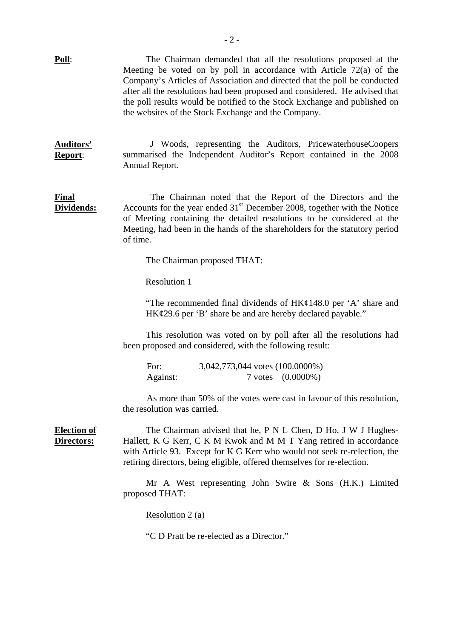**Poll**: The Chairman demanded that all the resolutions proposed at the Meeting be voted on by poll in accordance with Article 72(a) of the Company's Articles of Association and directed that the poll be conducted after all the resolutions had been proposed and considered. He advised that the poll results would be notified to the Stock Exchange and published on the websites of the Stock Exchange and the Company.

**Auditors' Report**: J Woods, representing the Auditors, PricewaterhouseCoopers summarised the Independent Auditor's Report contained in the 2008 Annual Report.

**Final Dividends:** The Chairman noted that the Report of the Directors and the Accounts for the year ended  $31<sup>st</sup>$  December 2008, together with the Notice of Meeting containing the detailed resolutions to be considered at the Meeting, had been in the hands of the shareholders for the statutory period of time.

The Chairman proposed THAT:

Resolution 1

 "The recommended final dividends of HK¢148.0 per 'A' share and HK¢29.6 per 'B' share be and are hereby declared payable."

This resolution was voted on by poll after all the resolutions had been proposed and considered, with the following result:

For: 3,042,773,044 votes (100.0000%) Against: 7 votes (0.0000%)

As more than 50% of the votes were cast in favour of this resolution, the resolution was carried.

**Election of Directors:**

The Chairman advised that he, P N L Chen, D Ho, J W J Hughes-Hallett, K G Kerr, C K M Kwok and M M T Yang retired in accordance with Article 93. Except for K G Kerr who would not seek re-relection, the retiring directors, being eligible, offered themselves for re-election.

Mr A West representing John Swire & Sons (H.K.) Limited proposed THAT:

Resolution 2 (a)

"C D Pratt be re-elected as a Director."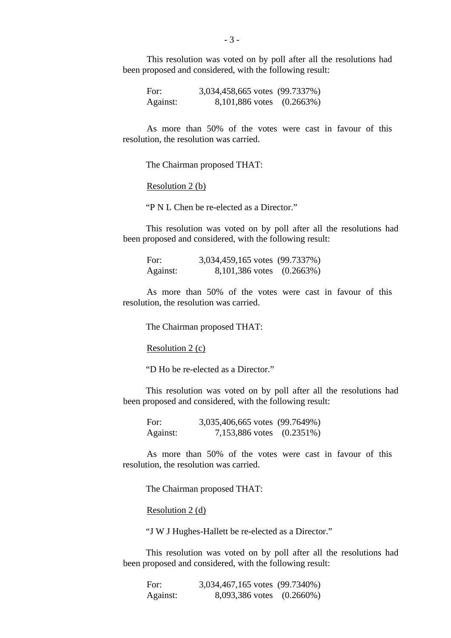This resolution was voted on by poll after all the resolutions had been proposed and considered, with the following result:

For: 3,034,458,665 votes (99.7337%) Against: 8,101,886 votes (0.2663%)

As more than 50% of the votes were cast in favour of this resolution, the resolution was carried.

The Chairman proposed THAT:

Resolution 2 (b)

"P N L Chen be re-elected as a Director."

This resolution was voted on by poll after all the resolutions had been proposed and considered, with the following result:

| For:     | 3,034,459,165 votes (99.7337%) |  |
|----------|--------------------------------|--|
| Against: | $8,101,386$ votes $(0.2663%)$  |  |

As more than 50% of the votes were cast in favour of this resolution, the resolution was carried.

The Chairman proposed THAT:

Resolution 2 (c)

"D Ho be re-elected as a Director."

This resolution was voted on by poll after all the resolutions had been proposed and considered, with the following result:

For: 3,035,406,665 votes (99.7649%) Against: 7,153,886 votes (0.2351%)

As more than 50% of the votes were cast in favour of this resolution, the resolution was carried.

The Chairman proposed THAT:

Resolution 2 (d)

"J W J Hughes-Hallett be re-elected as a Director."

This resolution was voted on by poll after all the resolutions had been proposed and considered, with the following result:

For: 3,034,467,165 votes (99.7340%) Against: 8,093,386 votes (0.2660%)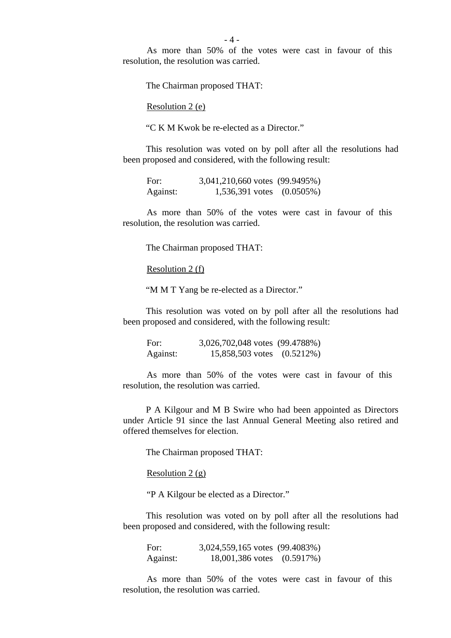- 4 -

As more than 50% of the votes were cast in favour of this resolution, the resolution was carried.

The Chairman proposed THAT:

Resolution 2 (e)

"C K M Kwok be re-elected as a Director."

This resolution was voted on by poll after all the resolutions had been proposed and considered, with the following result:

| For:     | 3,041,210,660 votes (99.9495%) |  |
|----------|--------------------------------|--|
| Against: | $1,536,391$ votes $(0.0505\%)$ |  |

As more than 50% of the votes were cast in favour of this resolution, the resolution was carried.

The Chairman proposed THAT:

Resolution 2 (f)

"M M T Yang be re-elected as a Director."

This resolution was voted on by poll after all the resolutions had been proposed and considered, with the following result:

For: 3,026,702,048 votes (99.4788%) Against: 15,858,503 votes (0.5212%)

As more than 50% of the votes were cast in favour of this resolution, the resolution was carried.

P A Kilgour and M B Swire who had been appointed as Directors under Article 91 since the last Annual General Meeting also retired and offered themselves for election.

The Chairman proposed THAT:

Resolution  $2(g)$ 

"P A Kilgour be elected as a Director."

This resolution was voted on by poll after all the resolutions had been proposed and considered, with the following result:

For: 3,024,559,165 votes (99.4083%) Against: 18,001,386 votes (0.5917%)

As more than 50% of the votes were cast in favour of this resolution, the resolution was carried.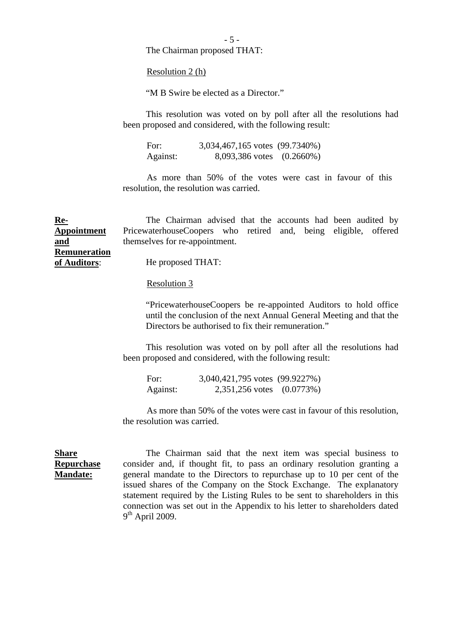- 5 -

The Chairman proposed THAT:

Resolution 2 (h)

"M B Swire be elected as a Director."

This resolution was voted on by poll after all the resolutions had been proposed and considered, with the following result:

For: 3,034,467,165 votes (99.7340%) Against: 8,093,386 votes (0.2660%)

As more than 50% of the votes were cast in favour of this resolution, the resolution was carried.

**Re-Appointment and**  The Chairman advised that the accounts had been audited by PricewaterhouseCoopers who retired and, being eligible, offered themselves for re-appointment.

He proposed THAT:

#### Resolution 3

 "PricewaterhouseCoopers be re-appointed Auditors to hold office until the conclusion of the next Annual General Meeting and that the Directors be authorised to fix their remuneration."

This resolution was voted on by poll after all the resolutions had been proposed and considered, with the following result:

| For:     | 3,040,421,795 votes (99.9227%) |  |
|----------|--------------------------------|--|
| Against: | 2,351,256 votes (0.0773%)      |  |

As more than 50% of the votes were cast in favour of this resolution, the resolution was carried.

**Repurchase Mandate:** The Chairman said that the next item was special business to consider and, if thought fit, to pass an ordinary resolution granting a general mandate to the Directors to repurchase up to 10 per cent of the issued shares of the Company on the Stock Exchange. The explanatory statement required by the Listing Rules to be sent to shareholders in this connection was set out in the Appendix to his letter to shareholders dated  $9<sup>th</sup>$  April 2009.

**Remuneration of Auditors**:

**Share**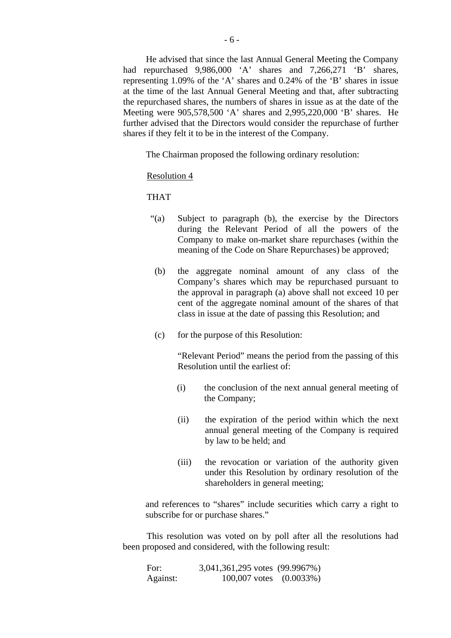He advised that since the last Annual General Meeting the Company had repurchased 9,986,000 'A' shares and 7,266,271 'B' shares, representing 1.09% of the 'A' shares and 0.24% of the 'B' shares in issue at the time of the last Annual General Meeting and that, after subtracting the repurchased shares, the numbers of shares in issue as at the date of the Meeting were 905,578,500 'A' shares and 2,995,220,000 'B' shares. He further advised that the Directors would consider the repurchase of further shares if they felt it to be in the interest of the Company.

The Chairman proposed the following ordinary resolution:

### Resolution 4

THAT

- "(a) Subject to paragraph (b), the exercise by the Directors during the Relevant Period of all the powers of the Company to make on-market share repurchases (within the meaning of the Code on Share Repurchases) be approved;
- (b) the aggregate nominal amount of any class of the Company's shares which may be repurchased pursuant to the approval in paragraph (a) above shall not exceed 10 per cent of the aggregate nominal amount of the shares of that class in issue at the date of passing this Resolution; and
- (c) for the purpose of this Resolution:

 "Relevant Period" means the period from the passing of this Resolution until the earliest of:

- (i) the conclusion of the next annual general meeting of the Company;
- (ii) the expiration of the period within which the next annual general meeting of the Company is required by law to be held; and
- (iii) the revocation or variation of the authority given under this Resolution by ordinary resolution of the shareholders in general meeting;

and references to "shares" include securities which carry a right to subscribe for or purchase shares."

This resolution was voted on by poll after all the resolutions had been proposed and considered, with the following result:

For: 3,041,361,295 votes (99.9967%) Against: 100,007 votes (0.0033%)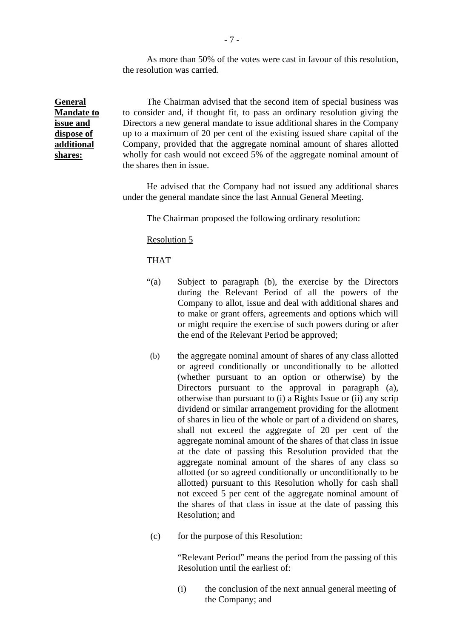As more than 50% of the votes were cast in favour of this resolution, the resolution was carried.

**General Mandate to issue and dispose of additional shares:**

The Chairman advised that the second item of special business was to consider and, if thought fit, to pass an ordinary resolution giving the Directors a new general mandate to issue additional shares in the Company up to a maximum of 20 per cent of the existing issued share capital of the Company, provided that the aggregate nominal amount of shares allotted wholly for cash would not exceed 5% of the aggregate nominal amount of the shares then in issue.

He advised that the Company had not issued any additional shares under the general mandate since the last Annual General Meeting.

The Chairman proposed the following ordinary resolution:

Resolution 5

THAT

- "(a) Subject to paragraph (b), the exercise by the Directors during the Relevant Period of all the powers of the Company to allot, issue and deal with additional shares and to make or grant offers, agreements and options which will or might require the exercise of such powers during or after the end of the Relevant Period be approved;
- (b) the aggregate nominal amount of shares of any class allotted or agreed conditionally or unconditionally to be allotted (whether pursuant to an option or otherwise) by the Directors pursuant to the approval in paragraph (a), otherwise than pursuant to (i) a Rights Issue or (ii) any scrip dividend or similar arrangement providing for the allotment of shares in lieu of the whole or part of a dividend on shares, shall not exceed the aggregate of 20 per cent of the aggregate nominal amount of the shares of that class in issue at the date of passing this Resolution provided that the aggregate nominal amount of the shares of any class so allotted (or so agreed conditionally or unconditionally to be allotted) pursuant to this Resolution wholly for cash shall not exceed 5 per cent of the aggregate nominal amount of the shares of that class in issue at the date of passing this Resolution; and
- (c) for the purpose of this Resolution:

"Relevant Period" means the period from the passing of this Resolution until the earliest of:

(i) the conclusion of the next annual general meeting of the Company; and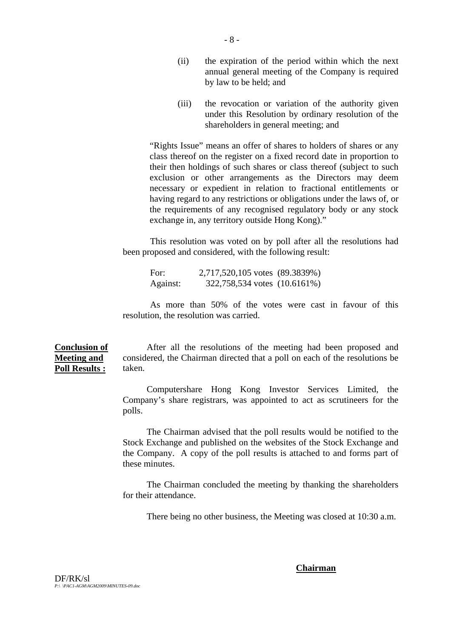- (ii) the expiration of the period within which the next annual general meeting of the Company is required by law to be held; and
- (iii) the revocation or variation of the authority given under this Resolution by ordinary resolution of the shareholders in general meeting; and

"Rights Issue" means an offer of shares to holders of shares or any class thereof on the register on a fixed record date in proportion to their then holdings of such shares or class thereof (subject to such exclusion or other arrangements as the Directors may deem necessary or expedient in relation to fractional entitlements or having regard to any restrictions or obligations under the laws of, or the requirements of any recognised regulatory body or any stock exchange in, any territory outside Hong Kong)."

This resolution was voted on by poll after all the resolutions had been proposed and considered, with the following result:

For: 2,717,520,105 votes (89.3839%) Against: 322,758,534 votes (10.6161%)

As more than 50% of the votes were cast in favour of this resolution, the resolution was carried.

**Conclusion of Meeting and Poll Results :** After all the resolutions of the meeting had been proposed and considered, the Chairman directed that a poll on each of the resolutions be taken.

> Computershare Hong Kong Investor Services Limited, the Company's share registrars, was appointed to act as scrutineers for the polls.

> The Chairman advised that the poll results would be notified to the Stock Exchange and published on the websites of the Stock Exchange and the Company. A copy of the poll results is attached to and forms part of these minutes.

> The Chairman concluded the meeting by thanking the shareholders for their attendance.

There being no other business, the Meeting was closed at 10:30 a.m.

#### **Chairman**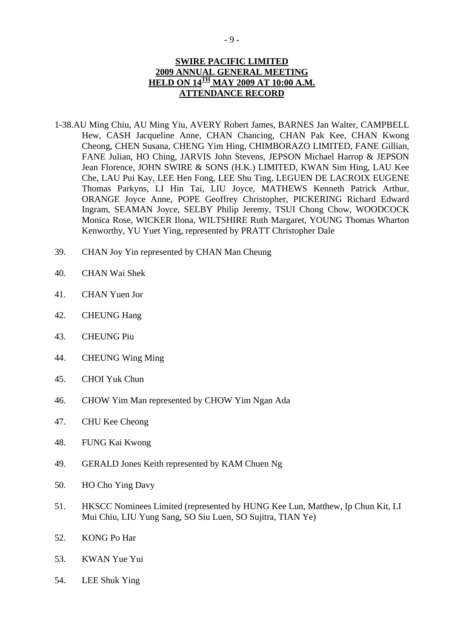## **SWIRE PACIFIC LIMITED 2009 ANNUAL GENERAL MEETING HELD ON 14TH MAY 2009 AT 10:00 A.M. ATTENDANCE RECORD**

- 1-38.AU Ming Chiu, AU Ming Yiu, AVERY Robert James, BARNES Jan Walter, CAMPBELL Hew, CASH Jacqueline Anne, CHAN Chancing, CHAN Pak Kee, CHAN Kwong Cheong, CHEN Susana, CHENG Yim Hing, CHIMBORAZO LIMITED, FANE Gillian, FANE Julian, HO Ching, JARVIS John Stevens, JEPSON Michael Harrop & JEPSON Jean Florence, JOHN SWIRE & SONS (H.K.) LIMITED, KWAN Sim Hing, LAU Kee Che, LAU Pui Kay, LEE Hen Fong, LEE Shu Ting, LEGUEN DE LACROIX EUGENE Thomas Parkyns, LI Hin Tai, LIU Joyce, MATHEWS Kenneth Patrick Arthur, ORANGE Joyce Anne, POPE Geoffrey Christopher, PICKERING Richard Edward Ingram, SEAMAN Joyce, SELBY Philip Jeremy, TSUI Chong Chow, WOODCOCK Monica Rose, WICKER Ilona, WILTSHIRE Ruth Margaret, YOUNG Thomas Wharton Kenworthy, YU Yuet Ying, represented by PRATT Christopher Dale
- 39. CHAN Joy Yin represented by CHAN Man Cheung
- 40. CHAN Wai Shek
- 41. CHAN Yuen Jor
- 42. CHEUNG Hang
- 43. CHEUNG Piu
- 44. CHEUNG Wing Ming
- 45. CHOI Yuk Chun
- 46. CHOW Yim Man represented by CHOW Yim Ngan Ada
- 47. CHU Kee Cheong
- 48. FUNG Kai Kwong
- 49. GERALD Jones Keith represented by KAM Chuen Ng
- 50. HO Cho Ying Davy
- 51. HKSCC Nominees Limited (represented by HUNG Kee Lun, Matthew, Ip Chun Kit, LI Mui Chiu, LIU Yung Sang, SO Siu Luen, SO Sujitra, TIAN Ye)
- 52. KONG Po Har
- 53. KWAN Yue Yui
- 54. LEE Shuk Ying